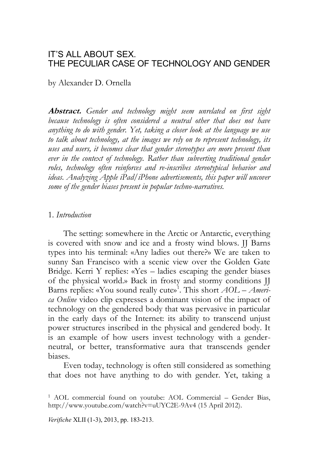# IT'S ALL ABOUT SEX. THE PECULIAR CASE OF TECHNOLOGY AND GENDER

by Alexander D. Ornella

**Abstract.** *Gender and technology might seem unrelated on first sight because technology is often considered a neutral other that does not have anything to do with gender. Yet, taking a closer look at the language we use to talk about technology, at the images we rely on to represent technology, its uses and users, it becomes clear that gender stereotypes are more present than*  ever in the context of technology. Rather than subverting traditional gender *roles, technology often reinforces and re-inscribes stereotypical behavior and ideas. Analyzing Apple iPad/iPhone advertisements, this paper will uncover some of the gender biases present in popular techno-narratives.*

## 1. *Introduction*

The setting: somewhere in the Arctic or Antarctic, everything is covered with snow and ice and a frosty wind blows. IJ Barns types into his terminal: «Any ladies out there?» We are taken to sunny San Francisco with a scenic view over the Golden Gate Bridge. Kerri Y replies: «Yes – ladies escaping the gender biases of the physical world.» Back in frosty and stormy conditions JJ Barns replies: «You sound really cute»<sup>1</sup>. This short *AOL – America Online* video clip expresses a dominant vision of the impact of technology on the gendered body that was pervasive in particular in the early days of the Internet: its ability to transcend unjust power structures inscribed in the physical and gendered body. It is an example of how users invest technology with a genderneutral, or better, transformative aura that transcends gender biases.

Even today, technology is often still considered as something that does not have anything to do with gender. Yet, taking a

*Verifiche* XLII (1-3), 2013, pp. 183-213.

<sup>1</sup> AOL commercial found on youtube: AOL Commercial – Gender Bias, http://www.youtube.com/watch?v=uUYC2E-9Av4 (15 April 2012).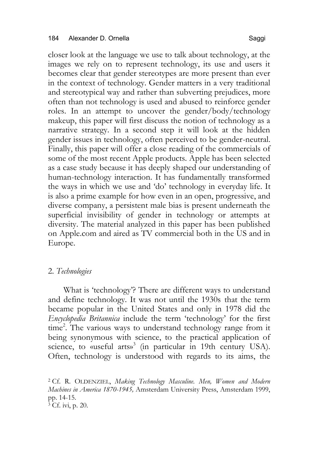closer look at the language we use to talk about technology, at the images we rely on to represent technology, its use and users it becomes clear that gender stereotypes are more present than ever in the context of technology. Gender matters in a very traditional and stereotypical way and rather than subverting prejudices, more often than not technology is used and abused to reinforce gender roles. In an attempt to uncover the gender/body/technology makeup, this paper will first discuss the notion of technology as a narrative strategy. In a second step it will look at the hidden gender issues in technology, often perceived to be gender-neutral. Finally, this paper will offer a close reading of the commercials of some of the most recent Apple products. Apple has been selected as a case study because it has deeply shaped our understanding of human-technology interaction. It has fundamentally transformed the ways in which we use and 'do' technology in everyday life. It is also a prime example for how even in an open, progressive, and diverse company, a persistent male bias is present underneath the superficial invisibility of gender in technology or attempts at diversity. The material analyzed in this paper has been published on Apple.com and aired as TV commercial both in the US and in Europe.

# 2. *Technologies*

What is 'technology'? There are different ways to understand and define technology. It was not until the 1930s that the term became popular in the United States and only in 1978 did the *Encyclopedia Britannica* include the term 'technology' for the first time<sup>2</sup>. The various ways to understand technology range from it being synonymous with science, to the practical application of science, to «useful arts»<sup>3</sup> (in particular in 19th century USA). Often, technology is understood with regards to its aims, the

<sup>2</sup> Cf. R. OLDENZIEL, *Making Technology Masculine. Men, Women and Modern Machines in America 1870-1945,* Amsterdam University Press, Amsterdam 1999, pp. 14-15. <sup>3</sup> Cf. ivi, p. 20.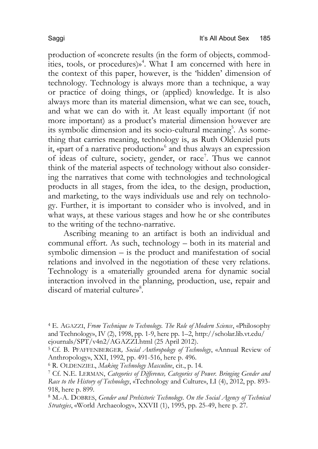production of «concrete results (in the form of objects, commodities, tools, or procedures) $\mathbf{w}^4$ . What I am concerned with here in the context of this paper, however, is the 'hidden' dimension of technology. Technology is always more than a technique, a way or practice of doing things, or (applied) knowledge. It is also always more than its material dimension, what we can see, touch, and what we can do with it. At least equally important (if not more important) as a product's material dimension however are its symbolic dimension and its socio-cultural meaning<sup>5</sup>. As something that carries meaning, technology is, as Ruth Oldenziel puts it, «part of a narrative production»6 and thus always an expression of ideas of culture, society, gender, or race<sup>7</sup>. Thus we cannot think of the material aspects of technology without also considering the narratives that come with technologies and technological products in all stages, from the idea, to the design, production, and marketing, to the ways individuals use and rely on technology. Further, it is important to consider who is involved, and in what ways, at these various stages and how he or she contributes to the writing of the techno-narrative.

Ascribing meaning to an artifact is both an individual and communal effort. As such, technology – both in its material and symbolic dimension – is the product and manifestation of social relations and involved in the negotiation of these very relations. Technology is a «materially grounded arena for dynamic social interaction involved in the planning, production, use, repair and discard of material culture»<sup>8</sup>.

<sup>4</sup> E. AGAZZI, *From Technique to Technology. The Role of Modern Science*, «Philosophy and Technology», IV (2), 1998, pp. 1-9, here pp. 1–2, http://scholar.lib.vt.edu/ ejournals/SPT/v4n2/AGAZZI.html (25 April 2012).

<sup>5</sup> Cf. B. PFAFFENBERGER*, Social Anthropology of Technology*, «Annual Review of Anthropology», XXI, 1992, pp. 491-516, here p. 496.

<sup>6</sup> R. OLDENZIEL, *Making Technology Masculine*, cit., p. 14.

<sup>7</sup> Cf. N.E. LERMAN, *Categories of Difference, Categories of Power. Bringing Gender and Race to the History of Technology*, «Technology and Culture», LI (4), 2012, pp. 893- 918, here p. 899.

<sup>8</sup> M.-A. DOBRES, *Gender and Prehistoric Technology. On the Social Agency of Technical Strategies*, «World Archaeology», XXVII (1), 1995, pp. 25-49, here p. 27.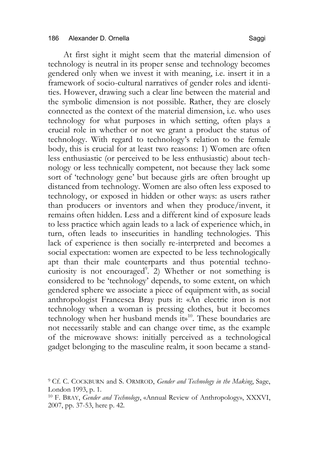At first sight it might seem that the material dimension of technology is neutral in its proper sense and technology becomes gendered only when we invest it with meaning, i.e. insert it in a framework of socio-cultural narratives of gender roles and identities. However, drawing such a clear line between the material and the symbolic dimension is not possible. Rather, they are closely connected as the context of the material dimension, i.e. who uses technology for what purposes in which setting, often plays a crucial role in whether or not we grant a product the status of technology. With regard to technology's relation to the female body, this is crucial for at least two reasons: 1) Women are often less enthusiastic (or perceived to be less enthusiastic) about technology or less technically competent, not because they lack some sort of 'technology gene' but because girls are often brought up distanced from technology. Women are also often less exposed to technology, or exposed in hidden or other ways: as users rather than producers or inventors and when they produce/invent, it remains often hidden. Less and a different kind of exposure leads to less practice which again leads to a lack of experience which, in turn, often leads to insecurities in handling technologies. This lack of experience is then socially re-interpreted and becomes a social expectation: women are expected to be less technologically apt than their male counterparts and thus potential technocuriosity is not encouraged<sup>9</sup>. 2) Whether or not something is considered to be 'technology' depends, to some extent, on which gendered sphere we associate a piece of equipment with, as social anthropologist Francesca Bray puts it: «An electric iron is not technology when a woman is pressing clothes, but it becomes technology when her husband mends  $ib<sup>10</sup>$ . These boundaries are not necessarily stable and can change over time, as the example of the microwave shows: initially perceived as a technological gadget belonging to the masculine realm, it soon became a stand-

<sup>9</sup> Cf. C. COCKBURN and S. ORMROD, *Gender and Technology in the Making*, Sage, London 1993, p. 1.

<sup>10</sup> F. BRAY, *Gender and Technology*, «Annual Review of Anthropology», XXXVI, 2007, pp. 37-53, here p. 42.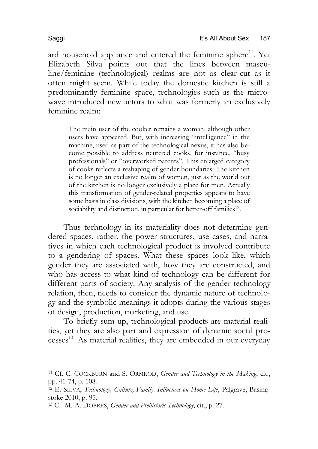ard household appliance and entered the feminine sphere<sup>11</sup>. Yet Elizabeth Silva points out that the lines between masculine/feminine (technological) realms are not as clear-cut as it often might seem. While today the domestic kitchen is still a predominantly feminine space, technologies such as the microwave introduced new actors to what was formerly an exclusively feminine realm:

The main user of the cooker remains a woman, although other users have appeared. But, with increasing "intelligence" in the machine, used as part of the technological nexus, it has also become possible to address neutered cooks, for instance, "busy professionals" or "overworked parents". This enlarged category of cooks reflects a reshaping of gender boundaries. The kitchen is no longer an exclusive realm of women, just as the world out of the kitchen is no longer exclusively a place for men. Actually this transformation of gender-related properties appears to have some basis in class divisions, with the kitchen becoming a place of sociability and distinction, in particular for better-off families<sup>12</sup>.

Thus technology in its materiality does not determine gendered spaces, rather, the power structures, use cases, and narratives in which each technological product is involved contribute to a gendering of spaces. What these spaces look like, which gender they are associated with, how they are constructed, and who has access to what kind of technology can be different for different parts of society. Any analysis of the gender-technology relation, then, needs to consider the dynamic nature of technology and the symbolic meanings it adopts during the various stages of design, production, marketing, and use.

To briefly sum up, technological products are material realities, yet they are also part and expression of dynamic social processes 13. As material realities, they are embedded in our everyday

<sup>11</sup> Cf. C. COCKBURN and S. ORMROD, *Gender and Technology in the Making*, cit., pp. 41-74, p. 108.

<sup>12</sup> E. SILVA, *Technology, Culture, Family. Influences on Home Life*, Palgrave, Basingstoke 2010, p. 95.

<sup>13</sup> Cf. M.-A. DOBRES, *Gender and Prehistoric Technology*, cit., p. 27.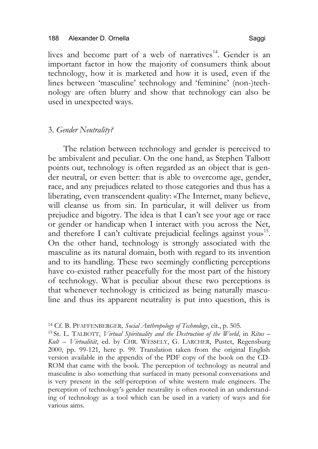lives and become part of a web of narratives<sup>14</sup>. Gender is an important factor in how the majority of consumers think about technology, how it is marketed and how it is used, even if the lines between 'masculine' technology and 'feminine' (non-)technology are often blurry and show that technology can also be used in unexpected ways.

## 3. *Gender Neutrality?*

The relation between technology and gender is perceived to be ambivalent and peculiar. On the one hand, as Stephen Talbott points out, technology is often regarded as an object that is gender neutral, or even better: that is able to overcome age, gender, race, and any prejudices related to those categories and thus has a liberating, even transcendent quality: «The Internet, many believe, will cleanse us from sin. In particular, it will deliver us from prejudice and bigotry. The idea is that I can't see your age or race or gender or handicap when I interact with you across the Net, and therefore I can't cultivate prejudicial feelings against yous<sup>15</sup>. On the other hand, technology is strongly associated with the masculine as its natural domain, both with regard to its invention and to its handling. These two seemingly conflicting perceptions have co-existed rather peacefully for the most part of the history of technology. What is peculiar about these two perceptions is that whenever technology is criticized as being naturally masculine and thus its apparent neutrality is put into question, this is

<sup>15</sup> St. L. TALBOTT, *Virtual Spirituality and the Destruction of the World*, in *Ritus – Kult – Virtualität*, ed. by CHR. WESSELY, G. LARCHER, Pustet, Regensburg 2000, pp. 99-121, here p. 99. Translation taken from the original English version available in the appendix of the PDF copy of the book on the CD-ROM that came with the book. The perception of technology as neutral and masculine is also something that surfaced in many personal conversations and is very present in the self-perception of white western male engineers. The perception of technology's gender neutrality is often rooted in an understanding of technology as a tool which can be used in a variety of ways and for various aims.

<sup>14</sup> Cf. B. PFAFFENBERGER*, Social Anthropology of Technology*, cit., p. 505.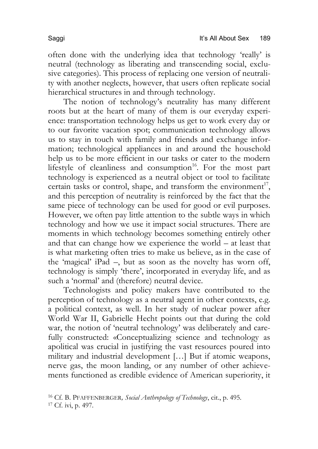often done with the underlying idea that technology 'really' is neutral (technology as liberating and transcending social, exclusive categories). This process of replacing one version of neutrality with another neglects, however, that users often replicate social hierarchical structures in and through technology.

The notion of technology's neutrality has many different roots but at the heart of many of them is our everyday experience: transportation technology helps us get to work every day or to our favorite vacation spot; communication technology allows us to stay in touch with family and friends and exchange information; technological appliances in and around the household help us to be more efficient in our tasks or cater to the modern lifestyle of cleanliness and consumption<sup>16</sup>. For the most part technology is experienced as a neutral object or tool to facilitate certain tasks or control, shape, and transform the environment<sup>17</sup>, and this perception of neutrality is reinforced by the fact that the same piece of technology can be used for good or evil purposes. However, we often pay little attention to the subtle ways in which technology and how we use it impact social structures. There are moments in which technology becomes something entirely other and that can change how we experience the world – at least that is what marketing often tries to make us believe, as in the case of the 'magical' iPad –, but as soon as the novelty has worn off, technology is simply 'there', incorporated in everyday life, and as such a 'normal' and (therefore) neutral device.

Technologists and policy makers have contributed to the perception of technology as a neutral agent in other contexts, e.g. a political context, as well. In her study of nuclear power after World War II, Gabrielle Hecht points out that during the cold war, the notion of 'neutral technology' was deliberately and carefully constructed: «Conceptualizing science and technology as apolitical was crucial in justifying the vast resources poured into military and industrial development […] But if atomic weapons, nerve gas, the moon landing, or any number of other achievements functioned as credible evidence of American superiority, it

<sup>16</sup> Cf. B. PFAFFENBERGER*, Social Anthropology of Technology*, cit., p. 495. <sup>17</sup> Cf. ivi, p. 497.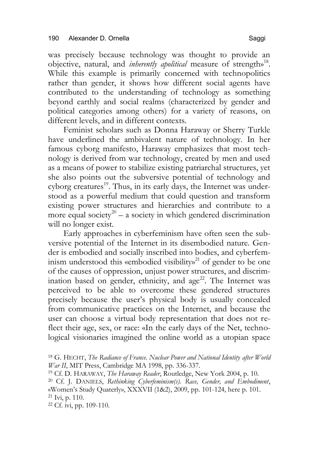was precisely because technology was thought to provide an objective, natural, and *inherently apolitical* measure of strength»18. While this example is primarily concerned with technopolitics rather than gender, it shows how different social agents have contributed to the understanding of technology as something beyond earthly and social realms (characterized by gender and political categories among others) for a variety of reasons, on different levels, and in different contexts.

Feminist scholars such as Donna Haraway or Sherry Turkle have underlined the ambivalent nature of technology. In her famous cyborg manifesto, Haraway emphasizes that most technology is derived from war technology, created by men and used as a means of power to stabilize existing patriarchal structures, yet she also points out the subversive potential of technology and cyborg creatures<sup>19</sup>. Thus, in its early days, the Internet was understood as a powerful medium that could question and transform existing power structures and hierarchies and contribute to a more equal society<sup>20</sup> – a society in which gendered discrimination will no longer exist.

Early approaches in cyberfeminism have often seen the subversive potential of the Internet in its disembodied nature. Gender is embodied and socially inscribed into bodies, and cyberfeminism understood this «embodied visibility»<sup>21</sup> of gender to be one of the causes of oppression, unjust power structures, and discrimination based on gender, ethnicity, and age<sup>22</sup>. The Internet was perceived to be able to overcome these gendered structures precisely because the user's physical body is usually concealed from communicative practices on the Internet, and because the user can choose a virtual body representation that does not reflect their age, sex, or race: «In the early days of the Net, technological visionaries imagined the online world as a utopian space

<sup>18</sup> G. HECHT, *The Radiance of France. Nuclear Power and National Identity after World War II*, MIT Press, Cambridge MA 1998, pp. 336-337.

<sup>19</sup> Cf. D. HARAWAY, *The Haraway Reader*, Routledge, New York 2004, p. 10.

<sup>20</sup> Cf. J. DANIELS, *Rethinking Cyberfeminism(s). Race, Gender, and Embodiment*, «Women's Study Quaterly», XXXVII (1&2), 2009, pp. 101-124, here p. 101.

<sup>21</sup> Ivi, p. 110.

<sup>22</sup> Cf. ivi, pp. 109-110.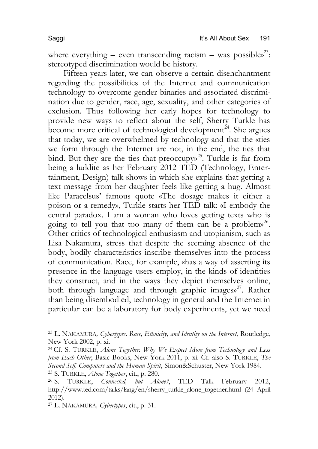where everything – even transcending racism – was possibles<sup>23</sup>: stereotyped discrimination would be history.

Fifteen years later, we can observe a certain disenchantment regarding the possibilities of the Internet and communication technology to overcome gender binaries and associated discrimination due to gender, race, age, sexuality, and other categories of exclusion. Thus following her early hopes for technology to provide new ways to reflect about the self, Sherry Turkle has become more critical of technological development $24$ . She argues that today, we are overwhelmed by technology and that the «ties we form through the Internet are not, in the end, the ties that bind. But they are the ties that preoccupy»<sup>25</sup>. Turkle is far from being a luddite as her February 2012 TED (Technology, Entertainment, Design) talk shows in which she explains that getting a text message from her daughter feels like getting a hug. Almost like Paracelsus' famous quote «The dosage makes it either a poison or a remedy», Turkle starts her TED talk: «I embody the central paradox. I am a woman who loves getting texts who is going to tell you that too many of them can be a problem»<sup>26</sup>. Other critics of technological enthusiasm and utopianism, such as Lisa Nakamura, stress that despite the seeming absence of the body, bodily characteristics inscribe themselves into the process of communication. Race, for example, «has a way of asserting its presence in the language users employ, in the kinds of identities they construct, and in the ways they depict themselves online, both through language and through graphic images»<sup>27</sup>. Rather than being disembodied, technology in general and the Internet in particular can be a laboratory for body experiments, yet we need

<sup>27</sup> L. NAKAMURA*, Cybertypes*, cit., p. 31.

<sup>23</sup> L. NAKAMURA*, Cybertypes. Race, Ethnicity, and Identity on the Internet*, Routledge, New York 2002, p. xi.

<sup>24</sup>Cf. S. TURKLE, *Alone Together. Why We Expect More from Technology and Less from Each Other*, Basic Books, New York 2011, p. xi. Cf. also S. TURKLE, *The Second Self. Computers and the Human Spirit*, Simon&Schuster, New York 1984. <sup>25</sup> S. TURKLE, *Alone Together*, cit., p. 280.

<sup>26</sup> S. TURKLE, *Connected, but Alone?*, TED Talk February 2012, http://www.ted.com/talks/lang/en/sherry\_turkle\_alone\_together.html (24 April 2012).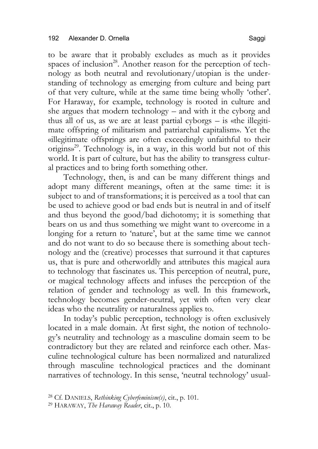to be aware that it probably excludes as much as it provides spaces of inclusion<sup>28</sup>. Another reason for the perception of technology as both neutral and revolutionary/utopian is the understanding of technology as emerging from culture and being part of that very culture, while at the same time being wholly 'other'. For Haraway, for example, technology is rooted in culture and she argues that modern technology – and with it the cyborg and thus all of us, as we are at least partial cyborgs – is «the illegitimate offspring of militarism and patriarchal capitalism». Yet the «illegitimate offsprings are often exceedingly unfaithful to their  $\alpha$  origins»<sup>29</sup>. Technology is, in a way, in this world but not of this world. It is part of culture, but has the ability to transgress cultural practices and to bring forth something other.

Technology, then, is and can be many different things and adopt many different meanings, often at the same time: it is subject to and of transformations; it is perceived as a tool that can be used to achieve good or bad ends but is neutral in and of itself and thus beyond the good/bad dichotomy; it is something that bears on us and thus something we might want to overcome in a longing for a return to 'nature', but at the same time we cannot and do not want to do so because there is something about technology and the (creative) processes that surround it that captures us, that is pure and otherworldly and attributes this magical aura to technology that fascinates us. This perception of neutral, pure, or magical technology affects and infuses the perception of the relation of gender and technology as well. In this framework, technology becomes gender-neutral, yet with often very clear ideas who the neutrality or naturalness applies to.

In today's public perception, technology is often exclusively located in a male domain. At first sight, the notion of technology's neutrality and technology as a masculine domain seem to be contradictory but they are related and reinforce each other. Masculine technological culture has been normalized and naturalized through masculine technological practices and the dominant narratives of technology. In this sense, 'neutral technology' usual-

<sup>28</sup> Cf. DANIELS, *Rethinking Cyberfeminism(s)*, cit., p. 101.

<sup>29</sup> HARAWAY, *The Haraway Reader*, cit., p. 10.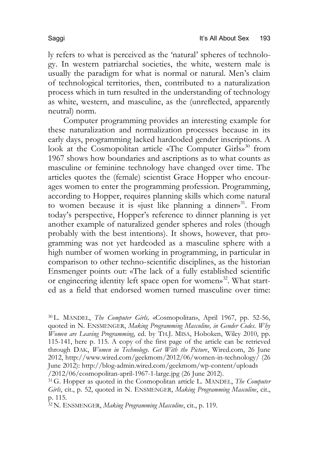ly refers to what is perceived as the 'natural' spheres of technology. In western patriarchal societies, the white, western male is usually the paradigm for what is normal or natural. Men's claim of technological territories, then, contributed to a naturalization process which in turn resulted in the understanding of technology as white, western, and masculine, as the (unreflected, apparently neutral) norm.

Computer programming provides an interesting example for these naturalization and normalization processes because in its early days, programming lacked hardcoded gender inscriptions. A look at the Cosmopolitan article «The Computer Girls»<sup>30</sup> from 1967 shows how boundaries and ascriptions as to what counts as masculine or feminine technology have changed over time. The articles quotes the (female) scientist Grace Hopper who encourages women to enter the programming profession. Programming, according to Hopper, requires planning skills which come natural to women because it is «just like planning a dinner»<sup>31</sup>. From today's perspective, Hopper's reference to dinner planning is yet another example of naturalized gender spheres and roles (though probably with the best intentions). It shows, however, that programming was not yet hardcoded as a masculine sphere with a high number of women working in programming, in particular in comparison to other techno-scientific disciplines, as the historian Ensmenger points out: «The lack of a fully established scientific or engineering identity left space open for women»<sup>32</sup>. What started as a field that endorsed women turned masculine over time:

<sup>30</sup> L. MANDEL, *The Computer Girls,* «Cosmopolitan», April 1967, pp. 52-56, quoted in N. ENSMENGER, *Making Programming Masculine, in Gender Codes. Why Women are Leaving Programming*, ed. by TH.J. MISA, Hoboken, Wiley 2010, pp. 115-141, here p. 115. A copy of the first page of the article can be retrieved through DAK, *Women in Technology. Get With the Picture*, Wired.com, 26 June 2012, http://www.wired.com/geekmom/2012/06/women-in-technology/ (26 June 2012): http://blog-admin.wired.com/geekmom/wp-content/uploads /2012/06/cosmopolitan-april-1967-1-large.jpg (26 June 2012).

<sup>31</sup>G. Hopper as quoted in the Cosmopolitan article L. MANDEL, *The Computer Girls*, cit., p. 52, quoted in N. ENSMENGER, *Making Programming Masculine*, cit., p. 115.

<sup>32</sup>N. ENSMENGER, *Making Programming Masculine*, cit., p. 119.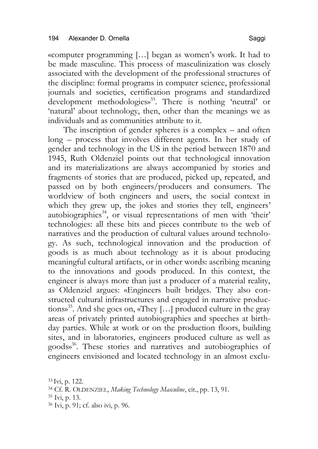«computer programming […] began as women's work. It had to be made masculine. This process of masculinization was closely associated with the development of the professional structures of the discipline: formal programs in computer science, professional journals and societies, certification programs and standardized development methodologies»<sup>33</sup>. There is nothing 'neutral' or 'natural' about technology, then, other than the meanings we as individuals and as communities attribute to it.

The inscription of gender spheres is a complex – and often long – process that involves different agents. In her study of gender and technology in the US in the period between 1870 and 1945, Ruth Oldenziel points out that technological innovation and its materializations are always accompanied by stories and fragments of stories that are produced, picked up, repeated, and passed on by both engineers/producers and consumers. The worldview of both engineers and users, the social context in which they grew up, the jokes and stories they tell, engineers' autobiographies<sup>34</sup>, or visual representations of men with 'their' technologies: all these bits and pieces contribute to the web of narratives and the production of cultural values around technology. As such, technological innovation and the production of goods is as much about technology as it is about producing meaningful cultural artifacts, or in other words: ascribing meaning to the innovations and goods produced. In this context, the engineer is always more than just a producer of a material reality, as Oldenziel argues: «Engineers built bridges. They also constructed cultural infrastructures and engaged in narrative productions»35. And she goes on, «They […] produced culture in the gray areas of privately printed autobiographies and speeches at birthday parties. While at work or on the production floors, building sites, and in laboratories, engineers produced culture as well as goods»36. These stories and narratives and autobiographies of engineers envisioned and located technology in an almost exclu-

 $33 \text{Ivi}$ , p. 122. <sup>34</sup> Cf. R. OLDENZIEL, *Making Technology Masculine*, cit., pp. 13, 91. <sup>35</sup> Ivi, p. 13.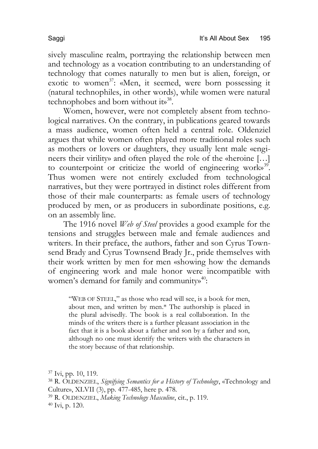sively masculine realm, portraying the relationship between men and technology as a vocation contributing to an understanding of technology that comes naturally to men but is alien, foreign, or exotic to women<sup>37</sup>: «Men, it seemed, were born possessing it (natural technophiles, in other words), while women were natural technophobes and born without its<sup>38</sup>.

Women, however, were not completely absent from technological narratives. On the contrary, in publications geared towards a mass audience, women often held a central role. Oldenziel argues that while women often played more traditional roles such as mothers or lovers or daughters, they usually lent male «engineers their virility» and often played the role of the «heroine […] to counterpoint or criticize the world of engineering work $s^{39}$ . Thus women were not entirely excluded from technological narratives, but they were portrayed in distinct roles different from those of their male counterparts: as female users of technology produced by men, or as producers in subordinate positions, e.g. on an assembly line.

The 1916 novel *Web of Steel* provides a good example for the tensions and struggles between male and female audiences and writers. In their preface, the authors, father and son Cyrus Townsend Brady and Cyrus Townsend Brady Jr., pride themselves with their work written by men for men «showing how the demands of engineering work and male honor were incompatible with women's demand for family and community»<sup>40</sup>:

"WEB OF STEEL," as those who read will see, is a book for men, about men, and written by men.\* The authorship is placed in the plural advisedly. The book is a real collaboration. In the minds of the writers there is a further pleasant association in the fact that it is a book about a father and son by a father and son, although no one must identify the writers with the characters in the story because of that relationship.

 Ivi, pp. 10, 119. R. OLDENZIEL, *Signifying Semantics for a History of Technology*, «Technology and Culture», XLVII (3), pp. 477-485, here p. 478. R. OLDENZIEL, *Making Technology Masculine*, cit., p. 119. Ivi, p. 120.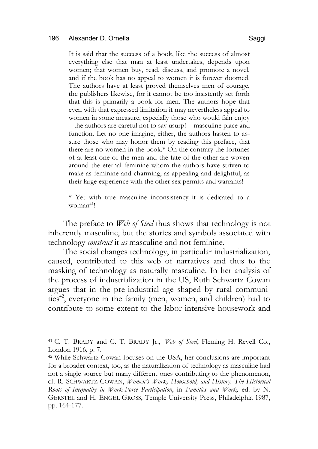### 196 Alexander D. Ornella Saggi and Saggi and Saggi and Saggi and Saggi and Saggi and Saggi and Saggi and Saggi

It is said that the success of a book, like the success of almost everything else that man at least undertakes, depends upon women; that women buy, read, discuss, and promote a novel, and if the book has no appeal to women it is forever doomed. The authors have at least proved themselves men of courage, the publishers likewise, for it cannot be too insistently set forth that this is primarily a book for men. The authors hope that even with that expressed limitation it may nevertheless appeal to women in some measure, especially those who would fain enjoy – the authors are careful not to say usurp! – masculine place and function. Let no one imagine, either, the authors hasten to assure those who may honor them by reading this preface, that there are no women in the book.\* On the contrary the fortunes of at least one of the men and the fate of the other are woven around the eternal feminine whom the authors have striven to make as feminine and charming, as appealing and delightful, as their large experience with the other sex permits and warrants!

\* Yet with true masculine inconsistency it is dedicated to a woman<sup>41</sup>!

The preface to *Web of Steel* thus shows that technology is not inherently masculine, but the stories and symbols associated with technology *construct* it *as* masculine and not feminine.

The social changes technology, in particular industrialization, caused, contributed to this web of narratives and thus to the masking of technology as naturally masculine. In her analysis of the process of industrialization in the US, Ruth Schwartz Cowan argues that in the pre-industrial age shaped by rural communities<sup>42</sup>, everyone in the family (men, women, and children) had to contribute to some extent to the labor-intensive housework and

<sup>41</sup> C. T. BRADY and C. T. BRADY Jr., *Web of Steel*, Fleming H. Revell Co., London 1916, p. 7.

<sup>42</sup> While Schwartz Cowan focuses on the USA, her conclusions are important for a broader context, too, as the naturalization of technology as masculine had not a single source but many different ones contributing to the phenomenon, cf. R. SCHWARTZ COWAN, *Women's Work, Household, and History. The Historical Roots of Inequality in Work-Force Participation*, in *Families and Work,* ed. by N. GERSTEL and H. ENGEL GROSS, Temple University Press, Philadelphia 1987, pp. 164-177.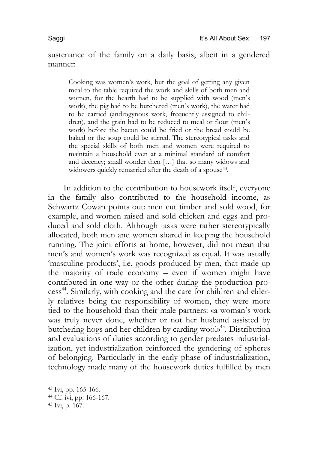sustenance of the family on a daily basis, albeit in a gendered manner:

Cooking was women's work, but the goal of getting any given meal to the table required the work and skills of both men and women, for the hearth had to be supplied with wood (men's work), the pig had to be butchered (men's work), the water had to be carried (androgynous work, frequently assigned to children), and the grain had to be reduced to meal or flour (men's work) before the bacon could be fried or the bread could be baked or the soup could be stirred. The stereotypical tasks and the special skills of both men and women were required to maintain a household even at a minimal standard of comfort and decency; small wonder then […] that so many widows and widowers quickly remarried after the death of a spouse<sup>43</sup>.

In addition to the contribution to housework itself, everyone in the family also contributed to the household income, as Schwartz Cowan points out: men cut timber and sold wood, for example, and women raised and sold chicken and eggs and produced and sold cloth. Although tasks were rather stereotypically allocated, both men and women shared in keeping the household running. The joint efforts at home, however, did not mean that men's and women's work was recognized as equal. It was usually 'masculine products', i.e. goods produced by men, that made up the majority of trade economy – even if women might have contributed in one way or the other during the production process 44. Similarly, with cooking and the care for children and elderly relatives being the responsibility of women, they were more tied to the household than their male partners: «a woman's work was truly never done, whether or not her husband assisted by butchering hogs and her children by carding wool»45. Distribution and evaluations of duties according to gender predates industrialization, yet industrialization reinforced the gendering of spheres of belonging. Particularly in the early phase of industrialization, technology made many of the housework duties fulfilled by men

<sup>43</sup> Ivi, pp. 165-166. <sup>44</sup> Cf. ivi, pp. 166-167. <sup>45</sup> Ivi, p. 167.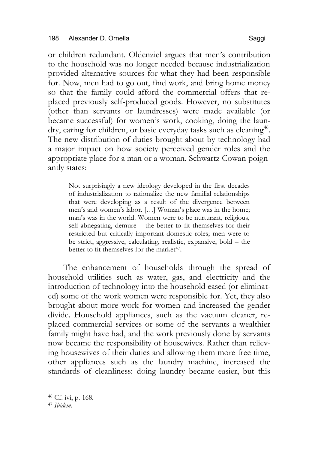or children redundant. Oldenziel argues that men's contribution to the household was no longer needed because industrialization provided alternative sources for what they had been responsible for. Now, men had to go out, find work, and bring home money so that the family could afford the commercial offers that replaced previously self-produced goods. However, no substitutes (other than servants or laundresses) were made available (or became successful) for women's work, cooking, doing the laundry, caring for children, or basic everyday tasks such as cleaning<sup>46</sup>. The new distribution of duties brought about by technology had a major impact on how society perceived gender roles and the appropriate place for a man or a woman. Schwartz Cowan poignantly states:

Not surprisingly a new ideology developed in the first decades of industrialization to rationalize the new familial relationships that were developing as a result of the divergence between men's and women's labor. […] Woman's place was in the home; man's was in the world. Women were to be nurturant, religious, self-abnegating, demure – the better to fit themselves for their restricted but critically important domestic roles; men were to be strict, aggressive, calculating, realistic, expansive, bold – the better to fit themselves for the market<sup>47</sup>.

The enhancement of households through the spread of household utilities such as water, gas, and electricity and the introduction of technology into the household eased (or eliminated) some of the work women were responsible for. Yet, they also brought about more work for women and increased the gender divide. Household appliances, such as the vacuum cleaner, replaced commercial services or some of the servants a wealthier family might have had, and the work previously done by servants now became the responsibility of housewives. Rather than relieving housewives of their duties and allowing them more free time, other appliances such as the laundry machine, increased the standards of cleanliness: doing laundry became easier, but this

<sup>46</sup> Cf. ivi, p. 168. <sup>47</sup> *Ibidem*.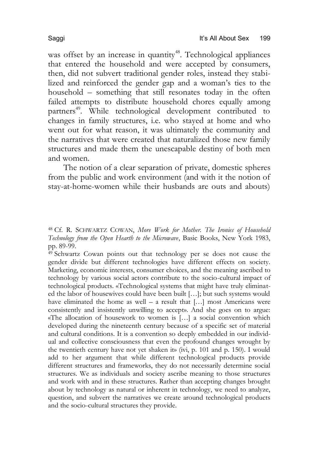was offset by an increase in quantity<sup>48</sup>. Technological appliances that entered the household and were accepted by consumers, then, did not subvert traditional gender roles, instead they stabilized and reinforced the gender gap and a woman's ties to the household – something that still resonates today in the often failed attempts to distribute household chores equally among partners<sup>49</sup>. While technological development contributed to changes in family structures, i.e. who stayed at home and who went out for what reason, it was ultimately the community and the narratives that were created that naturalized those new family structures and made them the unescapable destiny of both men and women.

The notion of a clear separation of private, domestic spheres from the public and work environment (and with it the notion of stay-at-home-women while their husbands are outs and abouts)

<sup>49</sup> Schwartz Cowan points out that technology per se does not cause the gender divide but different technologies have different effects on society. Marketing, economic interests, consumer choices, and the meaning ascribed to technology by various social actors contribute to the socio-cultural impact of technological products. «Technological systems that might have truly eliminated the labor of housewives could have been built […]; but such systems would have eliminated the home as well – a result that  $[...]$  most Americans were consistently and insistently unwilling to accept». And she goes on to argue: «The allocation of housework to women is […] a social convention which developed during the nineteenth century because of a specific set of material and cultural conditions. It is a convention so deeply embedded in our individual and collective consciousness that even the profound changes wrought by the twentieth century have not yet shaken it» (ivi, p. 101 and p. 150). I would add to her argument that while different technological products provide different structures and frameworks, they do not necessarily determine social structures. We as individuals and society ascribe meaning to those structures and work with and in these structures. Rather than accepting changes brought about by technology as natural or inherent in technology, we need to analyze, question, and subvert the narratives we create around technological products and the socio-cultural structures they provide.

<sup>48</sup> Cf. R. SCHWARTZ COWAN, *More Work for Mother. The Ironies of Household Technology from the Open Hearth to the Microwave*, Basic Books, New York 1983, pp. 89-99.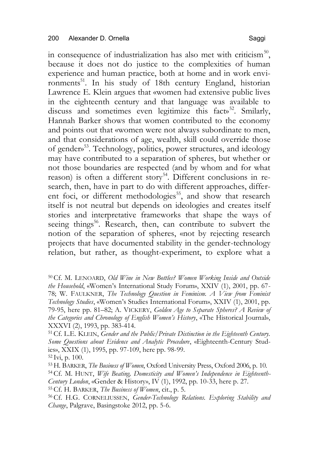in consequence of industrialization has also met with criticism $50$ , because it does not do justice to the complexities of human experience and human practice, both at home and in work environments<sup>51</sup>. In his study of 18th century England, historian Lawrence E. Klein argues that «women had extensive public lives in the eighteenth century and that language was available to discuss and sometimes even legitimize this facts<sup>52</sup>. Smilarly, Hannah Barker shows that women contributed to the economy and points out that «women were not always subordinate to men, and that considerations of age, wealth, skill could override those of gender»53. Technology, politics, power structures, and ideology may have contributed to a separation of spheres, but whether or not those boundaries are respected (and by whom and for what reason) is often a different story<sup>54</sup>. Different conclusions in research, then, have in part to do with different approaches, different foci, or different methodologies<sup>55</sup>, and show that research itself is not neutral but depends on ideologies and creates itself stories and interpretative frameworks that shape the ways of seeing things<sup>56</sup>. Research, then, can contribute to subvert the notion of the separation of spheres, «not by rejecting research projects that have documented stability in the gender-technology relation, but rather, as thought-experiment, to explore what a

51Cf. L.E. KLEIN, *Gender and the Public/Private Distinction in the Eighteenth Century. Some Questions about Evidence and Analytic Procedure*, «Eighteenth-Century Studies», XXIX (1), 1995, pp. 97-109, here pp. 98-99.  $52 \text{Ivi}$ , p. 100.

53H. BARKER, *The Business of Women*, Oxford University Press, Oxford 2006, p. 10. 54Cf. M. HUNT, *Wife Beating, Domesticity and Women's Independence in Eighteenth-Century London*, «Gender & History», IV (1), 1992, pp. 10-33, here p. 27. 55Cf. H. BARKER, *The Business of Women*, cit., p. 5.

56Cf. H.G. CORNELIUSSEN, *Gender-Technology Relations. Exploring Stability and Change*, Palgrave, Basingstoke 2012, pp. 5-6.

<sup>50</sup>Cf. M. LENOARD, *Old Wine in New Bottles? Women Working Inside and Outside the Household*, «Women's International Study Forum», XXIV (1), 2001, pp. 67- 78; W. FAULKNER, *The Technology Question in Feminism. A View from Feminist Technology Studies*, «Women's Studies International Forum», XXIV (1), 2001, pp. 79-95, here pp. 81–82; A. VICKERY, *Golden Age to Separate Spheres? A Review of the Categories and Chronology of English Women's History*, «The Historical Journal», XXXVI (2), 1993, pp. 383-414.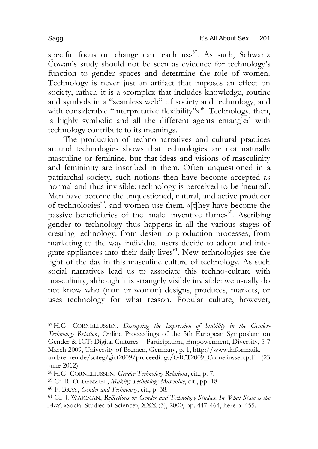specific focus on change can teach us $^{57}$ . As such, Schwartz Cowan's study should not be seen as evidence for technology's function to gender spaces and determine the role of women. Technology is never just an artifact that imposes an effect on society, rather, it is a «complex that includes knowledge, routine and symbols in a "seamless web" of society and technology, and with considerable "interpretative flexibility"<sup>58</sup>. Technology, then, is highly symbolic and all the different agents entangled with technology contribute to its meanings.

The production of techno-narratives and cultural practices around technologies shows that technologies are not naturally masculine or feminine, but that ideas and visions of masculinity and femininity are inscribed in them. Often unquestioned in a patriarchal society, such notions then have become accepted as normal and thus invisible: technology is perceived to be 'neutral'. Men have become the unquestioned, natural, and active producer of technologies<sup>59</sup>, and women use them, «[t]hey have become the passive beneficiaries of the [male] inventive flame»<sup>60</sup>. Ascribing gender to technology thus happens in all the various stages of creating technology: from design to production processes, from marketing to the way individual users decide to adopt and integrate appliances into their daily lives<sup>61</sup>. New technologies see the light of the day in this masculine culture of technology. As such social narratives lead us to associate this techno-culture with masculinity, although it is strangely visibly invisible: we usually do not know who (man or woman) designs, produces, markets, or uses technology for what reason. Popular culture, however,

57H.G. CORNELIUSSEN, *Disrupting the Impression of Stability in the Gender-Technology Relation*, Online Proceedings of the 5th European Symposium on Gender & ICT: Digital Cultures – Participation, Empowerment, Diversity, 5-7 March 2009, University of Bremen, Germany, p. 1, http://www.informatik. unibremen.de/soteg/gict2009/proceedings/GICT2009\_Corneliussen.pdf (23 June 2012).

58H.G. CORNELIUSSEN, *Gender-Technology Relations*, cit., p. 7.

<sup>59</sup> Cf. R. OLDENZIEL, *Making Technology Masculine*, cit., pp. 18.

<sup>60</sup> F. BRAY, *Gender and Technology*, cit., p. 38.

<sup>61</sup> Cf. J. WAJCMAN, *Reflections on Gender and Technology Studies. In What State is the Art?*, «Social Studies of Science», XXX (3), 2000, pp. 447-464, here p. 455.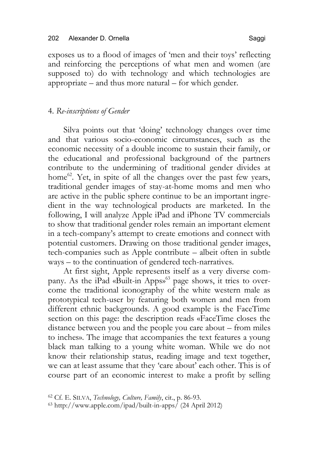exposes us to a flood of images of 'men and their toys' reflecting and reinforcing the perceptions of what men and women (are supposed to) do with technology and which technologies are appropriate – and thus more natural – for which gender.

# 4. *Re-inscriptions of Gender*

Silva points out that 'doing' technology changes over time and that various socio-economic circumstances, such as the economic necessity of a double income to sustain their family, or the educational and professional background of the partners contribute to the undermining of traditional gender divides at home<sup>62</sup>. Yet, in spite of all the changes over the past few years, traditional gender images of stay-at-home moms and men who are active in the public sphere continue to be an important ingredient in the way technological products are marketed. In the following, I will analyze Apple iPad and iPhone TV commercials to show that traditional gender roles remain an important element in a tech-company's attempt to create emotions and connect with potential customers. Drawing on those traditional gender images, tech-companies such as Apple contribute – albeit often in subtle ways – to the continuation of gendered tech-narratives.

At first sight, Apple represents itself as a very diverse company. As the iPad «Built-in Apps»<sup>63</sup> page shows, it tries to overcome the traditional iconography of the white western male as prototypical tech-user by featuring both women and men from different ethnic backgrounds. A good example is the FaceTime section on this page: the description reads «FaceTime closes the distance between you and the people you care about – from miles to inches». The image that accompanies the text features a young black man talking to a young white woman. While we do not know their relationship status, reading image and text together, we can at least assume that they 'care about' each other. This is of course part of an economic interest to make a profit by selling

<sup>62</sup> Cf. E. SILVA, *Technology, Culture, Family*, cit., p. 86-93.

<sup>63</sup> http://www.apple.com/ipad/built-in-apps/ (24 April 2012)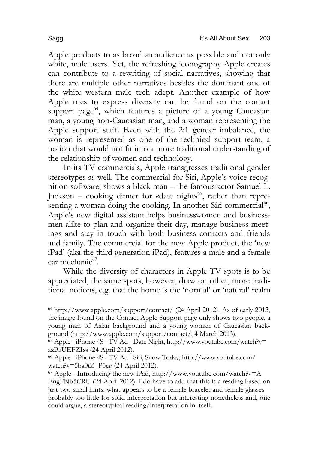Apple products to as broad an audience as possible and not only white, male users. Yet, the refreshing iconography Apple creates can contribute to a rewriting of social narratives, showing that there are multiple other narratives besides the dominant one of the white western male tech adept. Another example of how Apple tries to express diversity can be found on the contact support page<sup>64</sup>, which features a picture of a young Caucasian man, a young non-Caucasian man, and a woman representing the Apple support staff. Even with the 2:1 gender imbalance, the woman is represented as one of the technical support team, a notion that would not fit into a more traditional understanding of the relationship of women and technology.

In its TV commercials, Apple transgresses traditional gender stereotypes as well. The commercial for Siri, Apple's voice recognition software, shows a black man – the famous actor Samuel L. Jackson – cooking dinner for «date night»<sup>65</sup>, rather than representing a woman doing the cooking. In another Siri commercial<sup>66</sup>, Apple's new digital assistant helps businesswomen and businessmen alike to plan and organize their day, manage business meetings and stay in touch with both business contacts and friends and family. The commercial for the new Apple product, the 'new iPad' (aka the third generation iPad), features a male and a female  $car$  mechanic<sup>67</sup>.

While the diversity of characters in Apple TV spots is to be appreciated, the same spots, however, draw on other, more traditional notions, e.g. that the home is the 'normal' or 'natural' realm

<sup>&</sup>lt;sup>64</sup> http://www.apple.com/support/contact/  $(24$  April 2012). As of early 2013, the image found on the Contact Apple Support page only shows two people, a young man of Asian background and a young woman of Caucasian background (http://www.apple.com/support/contact/, 4 March 2013).

 $65$  Apple - iPhone 4S - TV Ad - Date Night, http://www.youtube.com/watch?v= azBzUEFZIss (24 April 2012).

<sup>66</sup> Apple - iPhone 4S - TV Ad - Siri, Snow Today, http://www.youtube.com/ watch?v=5ba0tZ\_P5cg (24 April 2012).

 $67$  Apple - Introducing the new iPad, http://www.youtube.com/watch?v=A EngFNb5CRU (24 April 2012). I do have to add that this is a reading based on just two small hints: what appears to be a female bracelet and female glasses – probably too little for solid interpretation but interesting nonetheless and, one could argue, a stereotypical reading/interpretation in itself.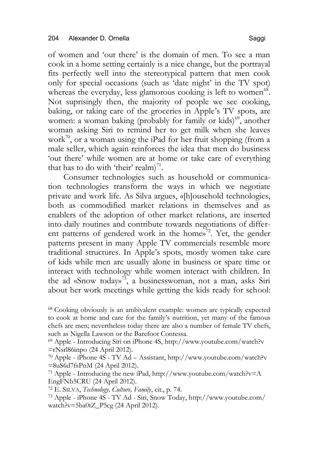of women and 'out there' is the domain of men. To see a man cook in a home setting certainly is a nice change, but the portrayal fits perfectly well into the stereotypical pattern that men cook only for special occasions (such as 'date night' in the TV spot) whereas the everyday, less glamorous cooking is left to women<sup>68</sup>. Not suprisingly then, the majority of people we see cooking, baking, or taking care of the groceries in Apple's TV spots, are women: a woman baking (probably for family or kids)<sup>69</sup>, another woman asking Siri to remind her to get milk when she leaves work<sup>70</sup>, or a woman using the iPad for her fruit shopping (from a male seller, which again reinforces the idea that men do business 'out there' while women are at home or take care of everything that has to do with 'their' realm)<sup>71</sup>.

Consumer technologies such as household or communication technologies transform the ways in which we negotiate private and work life. As Silva argues, «[h]ousehold technologies, both as commodified market relations in themselves and as enablers of the adoption of other market relations, are inserted into daily routines and contribute towards negotiations of different patterns of gendered work in the home $v^2$ . Yet, the gender patterns present in many Apple TV commercials resemble more traditional structures. In Apple's spots, mostly women take care of kids while men are usually alone in business or spare time or interact with technology while women interact with children. In the ad «Snow today»<sup>73</sup>, a businesswoman, not a man, asks Siri about her work meetings while getting the kids ready for school:

<sup>72</sup> E. SILVA, *Technology, Culture, Family*, cit., p. 74.

<sup>68</sup> Cooking obviously is an ambivalent example: women are typically expected to cook at home and care for the family's nutrition, yet many of the famous chefs are men; nevertheless today there are also a number of female TV chefs, such as Nigella Lawson or the Barefoot Contessa.

<sup>69</sup> Apple - Introducing Siri on iPhone 4S, http://www.youtube.com/watch?v =rNsrl86inpo (24 April 2012).

<sup>70</sup> Apple - iPhone 4S - TV Ad – Assistant, http://www.youtube.com/watch?v =8uS6d7fsPnM (24 April 2012).

<sup>&</sup>lt;sup>71</sup> Apple - Introducing the new iPad, http://www.youtube.com/watch?v=A EngFNb5CRU (24 April 2012).

<sup>73</sup> Apple - iPhone 4S - TV Ad - Siri, Snow Today, http://www.youtube.com/ watch?v=5ba0tZ\_P5cg (24 April 2012).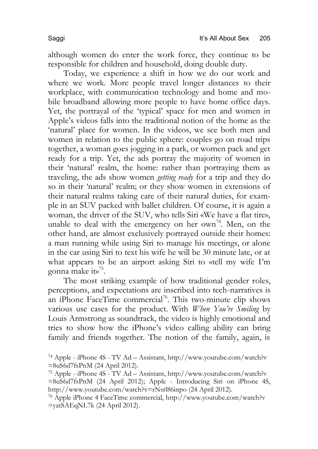although women do enter the work force, they continue to be responsible for children and household, doing double duty.

Today, we experience a shift in how we do our work and where we work. More people travel longer distances to their workplace, with communication technology and home and mobile broadband allowing more people to have home office days. Yet, the portrayal of the 'typical' space for men and women in Apple's videos falls into the traditional notion of the home as the 'natural' place for women. In the videos, we see both men and women in relation to the public sphere: couples go on road trips together, a woman goes jogging in a park, or women pack and get ready for a trip. Yet, the ads portray the majority of women in their 'natural' realm, the home: rather than portraying them as traveling, the ads show women *getting ready* for a trip and they do so in their 'natural' realm; or they show women in extensions of their natural realms taking care of their natural duties, for example in an SUV packed with ballet children. Of course, it is again a woman, the driver of the SUV, who tells Siri «We have a flat tire», unable to deal with the emergency on her own<sup>74</sup>. Men, on the other hand, are almost exclusively portrayed outside their homes: a man running while using Siri to manage his meetings, or alone in the car using Siri to text his wife he will be 30 minute late, or at what appears to be an airport asking Siri to «tell my wife I'm gonna make it»75.

The most striking example of how traditional gender roles, perceptions, and expectations are inscribed into tech-narratives is an iPhone FaceTime commercial<sup>76</sup>. This two-minute clip shows various use cases for the product. With *When You're Smiling* by Louis Armstrong as soundtrack, the video is highly emotional and tries to show how the iPhone's video calling ability can bring family and friends together. The notion of the family, again, is

<sup>74</sup> Apple - iPhone 4S - TV Ad – Assistant, http://www.youtube.com/watch?v =8uS6d7fsPnM (24 April 2012).

<sup>75</sup> Apple - iPhone 4S - TV Ad – Assistant, http://www.youtube.com/watch?v =8uS6d7fsPnM (24 April 2012); Apple - Introducing Siri on iPhone 4S, http://www.youtube.com/watch?v=rNsrl86inpo (24 April 2012).

<sup>76</sup> Apple iPhone 4 FaceTime commercial, http://www.youtube.com/watch?v =yatSAEqNL7k (24 April 2012).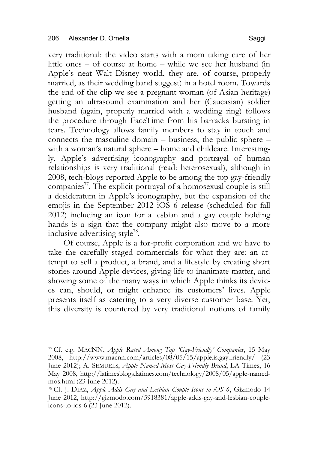very traditional: the video starts with a mom taking care of her little ones – of course at home – while we see her husband (in Apple's neat Walt Disney world, they are, of course, properly married, as their wedding band suggest) in a hotel room. Towards the end of the clip we see a pregnant woman (of Asian heritage) getting an ultrasound examination and her (Caucasian) soldier husband (again, properly married with a wedding ring) follows the procedure through FaceTime from his barracks bursting in tears. Technology allows family members to stay in touch and connects the masculine domain – business, the public sphere – with a woman's natural sphere – home and childcare. Interestingly, Apple's advertising iconography and portrayal of human relationships is very traditional (read: heterosexual), although in 2008, tech-blogs reported Apple to be among the top gay-friendly  $comparies<sup>77</sup>$ . The explicit portrayal of a homosexual couple is still a desideratum in Apple's iconography, but the expansion of the emojis in the September 2012 iOS 6 release (scheduled for fall 2012) including an icon for a lesbian and a gay couple holding hands is a sign that the company might also move to a more inclusive advertising style<sup>78</sup>.

Of course, Apple is a for-profit corporation and we have to take the carefully staged commercials for what they are: an attempt to sell a product, a brand, and a lifestyle by creating short stories around Apple devices, giving life to inanimate matter, and showing some of the many ways in which Apple thinks its devices can, should, or might enhance its customers' lives. Apple presents itself as catering to a very diverse customer base. Yet, this diversity is countered by very traditional notions of family

<sup>77</sup>Cf. e.g. MACNN, *Apple Rated Among Top 'Gay-Friendly' Companies*, 15 May 2008, http://www.macnn.com/articles/08/05/15/apple.is.gay.friendly/ (23 June 2012); A. SEMUELS, *Apple Named Most Gay-Friendly Brand*, LA Times, 16 May 2008, http://latimesblogs.latimes.com/technology/2008/05/apple-namedmos.html (23 June 2012).

<sup>78</sup>Cf. J. DIAZ, *Apple Adds Gay and Lesbian Couple Icons to iOS 6*, Gizmodo 14 June 2012, http://gizmodo.com/5918381/apple-adds-gay-and-lesbian-coupleicons-to-ios-6 (23 June 2012).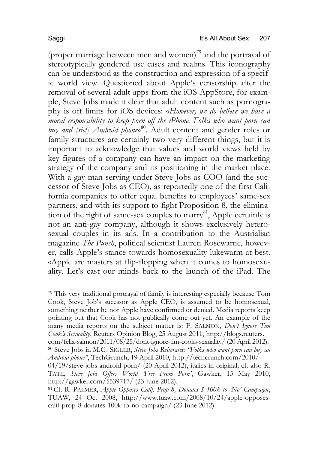(proper marriage between men and women)<sup>79</sup> and the portrayal of stereotypically gendered use cases and realms. This iconography can be understood as the construction and expression of a specific world view. Questioned about Apple's censorship after the removal of several adult apps from the iOS AppStore, for example, Steve Jobs made it clear that adult content such as pornography is off limits for iOS devices: «*However, we do believe we have a moral responsibility to keep porn off the iPhone. Folks who want porn can buy and [sic!] Android phone*» 80. Adult content and gender roles or family structures are certainly two very different things, but it is important to acknowledge that values and world views held by key figures of a company can have an impact on the marketing strategy of the company and its positioning in the market place. With a gay man serving under Steve Jobs as COO (and the successor of Steve Jobs as CEO), as reportedly one of the first California companies to offer equal benefits to employees' same-sex partners, and with its support to fight Proposition 8, the elimination of the right of same-sex couples to marry<sup>81</sup>, Apple certainly is not an anti-gay company, although it shows exclusively heterosexual couples in its ads. In a contribution to the Austrialian magazine *The Punch*, political scientist Lauren Rosewarne, however, calls Apple's stance towards homosexuality lukewarm at best. «Apple are masters at flip-flopping when it comes to homosexuality. Let's cast our minds back to the launch of the iPad. The

<sup>79</sup> This very traditional portrayal of family is interesting especially because Tom Cook, Steve Job's sucessor as Apple CEO, is assumed to be homosexual, something neither he nor Apple have confirmed or denied. Media reports keep pointing out that Cook has not publically come out yet. An example of the many media reports on the subject matter is: F. SALMON, *Don't Ignore Tim Cook's Sexuality*, Reuters Opinion Blog, 25 August 2011, http://blogs.reuters. com/felix-salmon/2011/08/25/dont-ignore-tim-cooks-sexuality/ (20 April 2012).

81Cf. R. PALMER, *Apple Opposes Calif. Prop 8, Donates \$ 100k to 'No' Campaign*, TUAW, 24 Oct 2008, http://www.tuaw.com/2008/10/24/apple-opposescalif-prop-8-donates-100k-to-no-campaign/ (23 June 2012).

<sup>80</sup> Steve Jobs in M.G. SIGLER, *Steve Jobs Reiterates: "Folks who want porn can buy an Android phone"*, TechGrunch, 19 April 2010, http://techcrunch.com/2010/

<sup>04/19/</sup>steve-jobs-android-porn/ (20 April 2012), italics in original; cf. also R. TATE, *Steve Jobs Offers World 'Free From Porn'*, Gawker, 15 May 2010, http://gawker.com/5539717/ (23 June 2012).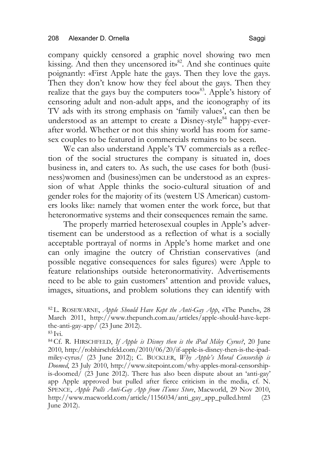company quickly censored a graphic novel showing two men kissing. And then they uncensored its<sup>82</sup>. And she continues quite poignantly: «First Apple hate the gays. Then they love the gays. Then they don't know how they feel about the gays. Then they realize that the gays buy the computers too<sup>83</sup>. Apple's history of censoring adult and non-adult apps, and the iconography of its TV ads with its strong emphasis on 'family values', can then be understood as an attempt to create a  $Disney-style<sup>84</sup>$  happy-everafter world. Whether or not this shiny world has room for samesex couples to be featured in commercials remains to be seen.

We can also understand Apple's TV commercials as a reflection of the social structures the company is situated in, does business in, and caters to. As such, the use cases for both (business)women and (business)men can be understood as an expression of what Apple thinks the socio-cultural situation of and gender roles for the majority of its (western US American) customers looks like: namely that women enter the work force, but that heteronormative systems and their consequences remain the same.

The properly married heterosexual couples in Apple's advertisement can be understood as a reflection of what is a socially acceptable portrayal of norms in Apple's home market and one can only imagine the outcry of Christian conservatives (and possible negative consequences for sales figures) were Apple to feature relationships outside heteronormativity. Advertisements need to be able to gain customers' attention and provide values, images, situations, and problem solutions they can identify with

<sup>82</sup> L. ROSEWARNE, *Apple Should Have Kept the Anti-Gay App*, «The Punch», 28 March 2011, http://www.thepunch.com.au/articles/apple-should-have-keptthe-anti-gay-app/ (23 June 2012).  $83 \text{ Ivi.}$ 

<sup>84</sup>Cf. R. HIRSCHFELD, *If Apple is Disney then is the iPad Miley Cyrus?*, 20 June 2010, http://robhirschfeld.com/2010/06/20/if-apple-is-disney-then-is-the-ipadmiley-cyrus/ (23 June 2012); C. BUCKLER, *Why Apple's Moral Censorship is Doomed*, 23 July 2010, http://www.sitepoint.com/why-apples-moral-censorshipis-doomed/ (23 June 2012). There has also been dispute about an 'anti-gay' app Apple approved but pulled after fierce criticism in the media, cf. N. SPENCE, *Apple Pulls Anti-Gay App from iTunes Store*, Macworld, 29 Nov 2010, http://www.macworld.com/article/1156034/anti\_gay\_app\_pulled.html (23 June 2012).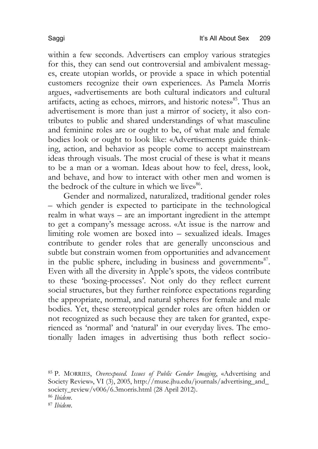within a few seconds. Advertisers can employ various strategies for this, they can send out controversial and ambivalent messages, create utopian worlds, or provide a space in which potential customers recognize their own experiences. As Pamela Morris argues, «advertisements are both cultural indicators and cultural artifacts, acting as echoes, mirrors, and historic notes»<sup>85</sup>. Thus an advertisement is more than just a mirror of society, it also contributes to public and shared understandings of what masculine and feminine roles are or ought to be, of what male and female bodies look or ought to look like: «Advertisements guide thinking, action, and behavior as people come to accept mainstream ideas through visuals. The most crucial of these is what it means to be a man or a woman. Ideas about how to feel, dress, look, and behave, and how to interact with other men and women is the bedrock of the culture in which we lives.<sup>86</sup>.

Gender and normalized, naturalized, traditional gender roles – which gender is expected to participate in the technological realm in what ways – are an important ingredient in the attempt to get a company's message across. «At issue is the narrow and limiting role women are boxed into – sexualized ideals. Images contribute to gender roles that are generally unconscious and subtle but constrain women from opportunities and advancement in the public sphere, including in business and government»<sup>87</sup>. Even with all the diversity in Apple's spots, the videos contribute to these 'boxing-processes'. Not only do they reflect current social structures, but they further reinforce expectations regarding the appropriate, normal, and natural spheres for female and male bodies. Yet, these stereotypical gender roles are often hidden or not recognized as such because they are taken for granted, experienced as 'normal' and 'natural' in our everyday lives. The emotionally laden images in advertising thus both reflect socio-

<sup>85</sup> P. MORRIES, *Overexposed. Issues of Public Gender Imaging*, «Advertising and Society Review», VI (3), 2005, http://muse.jhu.edu/journals/advertising\_and\_ society\_review/v006/6.3morris.html (28 April 2012).

<sup>87</sup> *Ibidem*.

<sup>86</sup> *Ibidem*.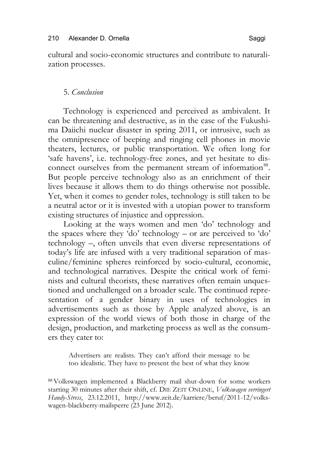cultural and socio-economic structures and contribute to naturalization processes.

# 5. *Conclusion*

Technology is experienced and perceived as ambivalent. It can be threatening and destructive, as in the case of the Fukushima Daiichi nuclear disaster in spring 2011, or intrusive, such as the omnipresence of beeping and ringing cell phones in movie theaters, lectures, or public transportation. We often long for 'safe havens', i.e. technology-free zones, and yet hesitate to disconnect ourselves from the permanent stream of information<sup>88</sup>. But people perceive technology also as an enrichment of their lives because it allows them to do things otherwise not possible. Yet, when it comes to gender roles, technology is still taken to be a neutral actor or it is invested with a utopian power to transform existing structures of injustice and oppression.

Looking at the ways women and men 'do' technology and the spaces where they 'do' technology – or are perceived to 'do' technology –, often unveils that even diverse representations of today's life are infused with a very traditional separation of masculine/feminine spheres reinforced by socio-cultural, economic, and technological narratives. Despite the critical work of feminists and cultural theorists, these narratives often remain unquestioned and unchallenged on a broader scale. The continued representation of a gender binary in uses of technologies in advertisements such as those by Apple analyzed above, is an expression of the world views of both those in charge of the design, production, and marketing process as well as the consumers they cater to:

Advertisers are realists. They can't afford their message to be too idealistic. They have to present the best of what they know

88Volkswagen implemented a Blackberry mail shut-down for some workers starting 30 minutes after their shift, cf. DIE ZEIT ONLINE, *Volkswagen verringert Handy-Stress*, 23.12.2011, http://www.zeit.de/karriere/beruf/2011-12/volkswagen-blackberry-mailsperre (23 June 2012).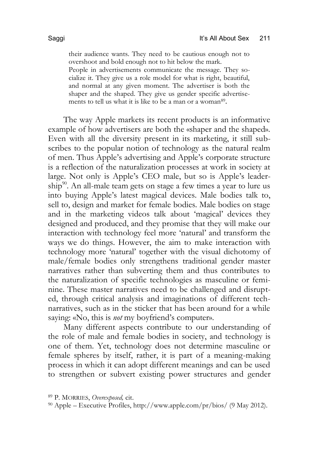their audience wants. They need to be cautious enough not to overshoot and bold enough not to hit below the mark. People in advertisements communicate the message. They socialize it. They give us a role model for what is right, beautiful, and normal at any given moment. The advertiser is both the shaper and the shaped. They give us gender specific advertisements to tell us what it is like to be a man or a woman<sup>89</sup>.

The way Apple markets its recent products is an informative example of how advertisers are both the «shaper and the shaped». Even with all the diversity present in its marketing, it still subscribes to the popular notion of technology as the natural realm of men. Thus Apple's advertising and Apple's corporate structure is a reflection of the naturalization processes at work in society at large. Not only is Apple's CEO male, but so is Apple's leadership<sup>90</sup>. An all-male team gets on stage a few times a year to lure us into buying Apple's latest magical devices. Male bodies talk to, sell to, design and market for female bodies. Male bodies on stage and in the marketing videos talk about 'magical' devices they designed and produced, and they promise that they will make our interaction with technology feel more 'natural' and transform the ways we do things. However, the aim to make interaction with technology more 'natural' together with the visual dichotomy of male/female bodies only strengthens traditional gender master narratives rather than subverting them and thus contributes to the naturalization of specific technologies as masculine or feminine. These master narratives need to be challenged and disrupted, through critical analysis and imaginations of different technarratives, such as in the sticker that has been around for a while saying: «No, this is *not* my boyfriend's computer».

Many different aspects contribute to our understanding of the role of male and female bodies in society, and technology is one of them. Yet, technology does not determine masculine or female spheres by itself, rather, it is part of a meaning-making process in which it can adopt different meanings and can be used to strengthen or subvert existing power structures and gender

<sup>89</sup> P. MORRIES, *Overexposed,* cit.

<sup>90</sup> Apple – Executive Profiles, http://www.apple.com/pr/bios/ (9 May 2012).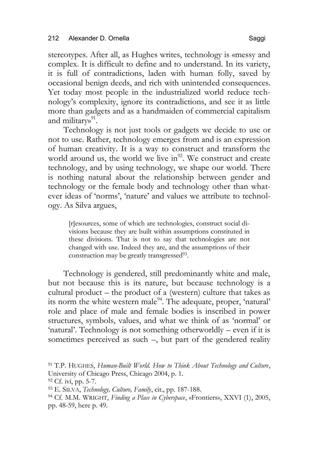stereotypes. After all, as Hughes writes, technology is «messy and complex. It is difficult to define and to understand. In its variety, it is full of contradictions, laden with human folly, saved by occasional benign deeds, and rich with unintended consequences. Yet today most people in the industrialized world reduce technology's complexity, ignore its contradictions, and see it as little more than gadgets and as a handmaiden of commercial capitalism and military<sup>91</sup>.

Technology is not just tools or gadgets we decide to use or not to use. Rather, technology emerges from and is an expression of human creativity. It is a way to construct and transform the world around us, the world we live in<sup>92</sup>. We construct and create technology, and by using technology, we shape our world. There is nothing natural about the relationship between gender and technology or the female body and technology other than whatever ideas of 'norms', 'nature' and values we attribute to technology. As Silva argues,

[r]esources, some of which are technologies, construct social divisions because they are built within assumptions constituted in these divisions. That is not to say that technologies are not changed with use. Indeed they are, and the assumptions of their construction may be greatly transgressed<sup>93</sup>.

Technology is gendered, still predominantly white and male, but not because this is its nature, but because technology is a cultural product – the product of a (western) culture that takes as its norm the white western male<sup>94</sup>. The adequate, proper, 'natural' role and place of male and female bodies is inscribed in power structures, symbols, values, and what we think of as 'normal' or 'natural'. Technology is not something otherworldly – even if it is sometimes perceived as such –, but part of the gendered reality

<sup>91</sup> T.P. HUGHES, *Human-Built World. How to Think About Technology and Culture*, University of Chicago Press, Chicago 2004, p. 1.

<sup>92</sup> Cf. ivi, pp. 5-7.

<sup>93</sup> E. SILVA, *Technology, Culture, Family*, cit., pp. 187-188.

<sup>94</sup> Cf. M.M. WRIGHT, *Finding a Place in Cyberspace*, «Frontiers», XXVI (1), 2005, pp. 48-59, here p. 49.